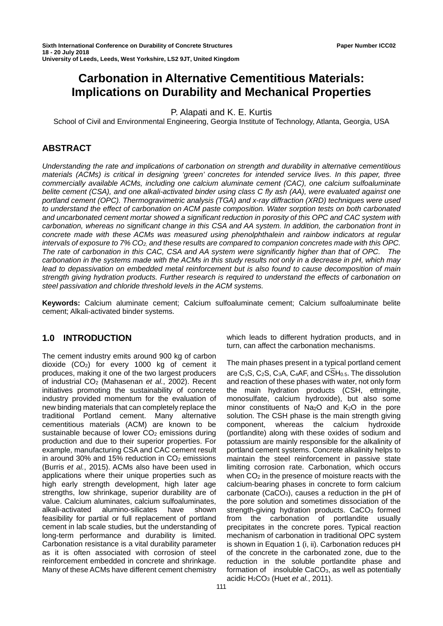# **Carbonation in Alternative Cementitious Materials: Implications on Durability and Mechanical Properties**

P. Alapati and K. E. Kurtis

School of Civil and Environmental Engineering, Georgia Institute of Technology, Atlanta, Georgia, USA

# **ABSTRACT**

*Understanding the rate and implications of carbonation on strength and durability in alternative cementitious materials (ACMs) is critical in designing 'green' concretes for intended service lives. In this paper, three commercially available ACMs, including one calcium aluminate cement (CAC), one calcium sulfoaluminate belite cement (CSA), and one alkali-activated binder using class C fly ash (AA), were evaluated against one portland cement (OPC). Thermogravimetric analysis (TGA) and x-ray diffraction (XRD) techniques were used to understand the effect of carbonation on ACM paste composition. Water sorption tests on both carbonated and uncarbonated cement mortar showed a significant reduction in porosity of this OPC and CAC system with carbonation, whereas no significant change in this CSA and AA system. In addition, the carbonation front in concrete made with these ACMs was measured using phenolphthalein and rainbow indicators at regular intervals of exposure to 7% CO2, and these results are compared to companion concretes made with this OPC. The rate of carbonation in this CAC, CSA and AA system were significantly higher than that of OPC. The carbonation in the systems made with the ACMs in this study results not only in a decrease in pH, which may lead to depassivation on embedded metal reinforcement but is also found to cause decomposition of main strength giving hydration products. Further research is required to understand the effects of carbonation on steel passivation and chloride threshold levels in the ACM systems.*

**Keywords:** Calcium aluminate cement; Calcium sulfoaluminate cement; Calcium sulfoaluminate belite cement; Alkali-activated binder systems.

# **1.0 INTRODUCTION**

The cement industry emits around 900 kg of carbon dioxide  $(CO<sub>2</sub>)$  for every 1000 kg of cement it produces, making it one of the two largest producers of industrial CO2 (Mahasenan *et al.*, 2002). Recent initiatives promoting the sustainability of concrete industry provided momentum for the evaluation of new binding materials that can completely replace the traditional Portland cement. Many alternative cementitious materials (ACM) are known to be sustainable because of lower  $CO<sub>2</sub>$  emissions during production and due to their superior properties. For example, manufacturing CSA and CAC cement result in around 30% and 15% reduction in  $CO<sub>2</sub>$  emissions (Burris *et al.*, 2015). ACMs also have been used in applications where their unique properties such as high early strength development, high later age strengths, low shrinkage, superior durability are of value. Calcium aluminates, calcium sulfoaluminates,<br>alkali-activated alumino-silicates have shown alumino-silicates have shown feasibility for partial or full replacement of portland cement in lab scale studies, but the understanding of long-term performance and durability is limited. Carbonation resistance is a vital durability parameter as it is often associated with corrosion of steel reinforcement embedded in concrete and shrinkage. Many of these ACMs have different cement chemistry

which leads to different hydration products, and in turn, can affect the carbonation mechanisms.

The main phases present in a typical portland cement are C<sub>3</sub>S, C<sub>2</sub>S, C<sub>3</sub>A, C<sub>4</sub>AF, and  $\overline{\text{CS}}H_{0.5}$ . The dissolution and reaction of these phases with water, not only form the main hydration products (CSH, ettringite, monosulfate, calcium hydroxide), but also some minor constituents of Na<sub>2</sub>O and K<sub>2</sub>O in the pore solution. The CSH phase is the main strength giving component, whereas the calcium hydroxide (portlandite) along with these oxides of sodium and potassium are mainly responsible for the alkalinity of portland cement systems. Concrete alkalinity helps to maintain the steel reinforcement in passive state limiting corrosion rate. Carbonation, which occurs when  $CO<sub>2</sub>$  in the presence of moisture reacts with the calcium-bearing phases in concrete to form calcium carbonate ( $CaCO<sub>3</sub>$ ), causes a reduction in the pH of the pore solution and sometimes dissociation of the strength-giving hydration products. CaCO<sub>3</sub> formed from the carbonation of portlandite usually precipitates in the concrete pores. Typical reaction mechanism of carbonation in traditional OPC system is shown in [Equation 1](#page-1-0) (i, ii). Carbonation reduces pH of the concrete in the carbonated zone, due to the reduction in the soluble portlandite phase and formation of insoluble  $CaCO<sub>3</sub>$ , as well as potentially acidic H2CO3 (Huet *et al.*, 2011).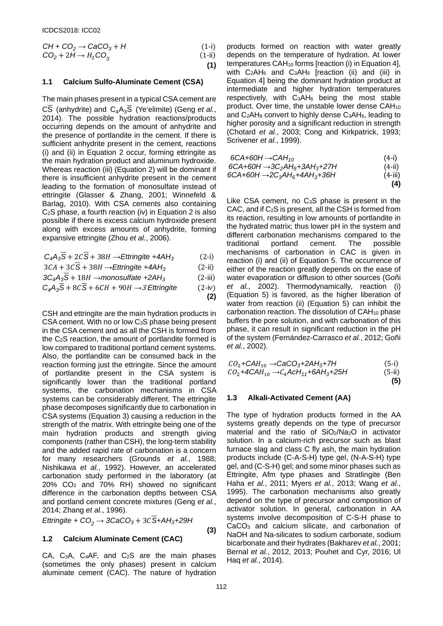$$
CH + CO2 \rightarrow CaCO3 + H
$$
\n
$$
CO2 + 2H \rightarrow H2CO3
$$
\n(1-i)\n(1-ii)\n(1)

#### <span id="page-1-0"></span>**1.1 Calcium Sulfo-Aluminate Cement (CSA)**

The main phases present in a typical CSA cement are  $\overline{\text{CS}}$  (anhydrite) and  $\overline{\text{C}_4\text{A}_3\text{S}}$  (Ye'elimite) (Geng *et al.*, 2014). The possible hydration reactions/products occurring depends on the amount of anhydrite and the presence of portlandite in the cement. If there is sufficient anhydrite present in the cement, reactions (i) and (ii) in [Equation 2](#page-1-1) occur, forming ettringite as the main hydration product and aluminum hydroxide. Whereas reaction (iii) [\(Equation 2\)](#page-1-1) will be dominant if there is insufficient anhydrite present in the cement leading to the formation of monosulfate instead of ettringite (Glasser & Zhang, 2001; Winnefeld & Barlag, 2010). With CSA cements also containing C2S phase, a fourth reaction (iv) i[n Equation 2](#page-1-1) is also possible if there is excess calcium hydroxide present along with excess amounts of anhydrite, forming expansive ettringite (Zhou *et al.*, 2006).

$$
C_4A_3\overline{S} + 2C\overline{S} + 38H \rightarrow \text{Etringite } + 4AH_3 \tag{2-i}
$$

$$
3CA + 3C\overline{S} + 38H \rightarrow \text{Etringite } + 4AH_3 \tag{2-ii}
$$

$$
3C_4A_3S + 18H \rightarrow monosulfate + 2AH_3 \tag{2-iii}
$$

<span id="page-1-1"></span>
$$
C_4A_3S + 8CS + 6CH + 90H \rightarrow 3 \text{ Etringite} \tag{2-iv}
$$

CSH and ettringite are the main hydration products in CSA cement. With no or low C3S phase being present in the CSA cement and as all the CSH is formed from the C2S reaction, the amount of portlandite formed is low compared to traditional portland cement systems. Also, the portlandite can be consumed back in the reaction forming just the ettringite. Since the amount of portlandite present in the CSA system is significantly lower than the traditional portland systems, the carbonation mechanisms in CSA systems can be considerably different. The ettringite phase decomposes significantly due to carbonation in CSA systems [\(Equation 3\)](#page-1-2) causing a reduction in the strength of the matrix. With ettringite being one of the main hydration products and strength giving components (rather than CSH), the long-term stability and the added rapid rate of carbonation is a concern for many researchers (Grounds *et al.*, 1988; Nishikawa *et al.*, 1992). However, an accelerated carbonation study performed in the laboratory (at 20% CO2 and 70% RH) showed no significant difference in the carbonation depths between CSA and portland cement concrete mixtures (Geng *et al.*, 2014; Zhang *et al.*, 1996).

$$
\textit{Ettriangle} + \textit{CO}_2 \rightarrow 3\textit{CaCO}_3 + 3\textit{C} \overline{\textit{S}} + \textit{AH}_3 + 29\textit{H}
$$

# <span id="page-1-2"></span>**1.2 Calcium Aluminate Cement (CAC)**

CA, C3A, C4AF, and C2S are the main phases (sometimes the only phases) present in calcium aluminate cement (CAC). The nature of hydration products formed on reaction with water greatly depends on the temperature of hydration. At lower temperatures  $CAH_{10}$  forms [reaction (i) in [Equation 4\]](#page-1-3), with C<sub>2</sub>AH<sub>6</sub> and C<sub>3</sub>AH<sub>6</sub> [reaction (ii) and (iii) in Equation 4] being the dominant hydration product at intermediate and higher hydration temperatures respectively, with  $C_3AH_6$  being the most stable product. Over time, the unstable lower dense CAH<sub>10</sub> and  $C_2AH_8$  convert to highly dense  $C_3AH_6$ , leading to higher porosity and a significant reduction in strength (Chotard *et al.*, 2003; Cong and Kirkpatrick, 1993; Scrivener *et al.*, 1999).

| $6CA+6OH \rightarrow CAH_{10}$           | $(4 - i)$   |
|------------------------------------------|-------------|
| $6CA+6OH \rightarrow 3C_2AH_8+3AH_3+27H$ | $(4 - ii)$  |
| $6CA+60H \rightarrow 2C_3AH_6+4AH_3+36H$ | $(4 - iii)$ |
|                                          | (4)         |

<span id="page-1-3"></span>Like CSA cement, no C<sub>3</sub>S phase is present in the CAC, and if C2S is present, all the CSH is formed from its reaction, resulting in low amounts of portlandite in the hydrated matrix; thus lower pH in the system and different carbonation mechanisms compared to the traditional portland cement. The possible mechanisms of carbonation in CAC is given in reaction (i) and (ii) of [Equation 5.](#page-1-4) The occurrence of either of the reaction greatly depends on the ease of water evaporation or diffusion to other sources (Goñi *et al.*, 2002). Thermodynamically, reaction (i) [\(Equation 5\)](#page-1-4) is favored, as the higher liberation of water from reaction (ii) [\(Equation 5\)](#page-1-4) can inhibit the carbonation reaction. The dissolution of CAH10 phase buffers the pore solution, and with carbonation of this phase, it can result in significant reduction in the pH of the system (Fernández-Carrasco *et al.*, 2012; Goñi *et al.*, 2002).

<span id="page-1-4"></span>
$$
CO_{2} + CAH_{10} \rightarrow CaCO_{3} + 2AH_{3} + 7H
$$
\n
$$
CO_{2} + 4CAH_{10} \rightarrow C_{4} ACH_{11} + 6AH_{3} + 25H
$$
\n(5-i)\n(5-i)

# **1.3 Alkali-Activated Cement (AA)**

The type of hydration products formed in the AA systems greatly depends on the type of precursor material and the ratio of SiO<sub>2</sub>/Na<sub>2</sub>O in activator solution. In a calcium-rich precursor such as blast furnace slag and class C fly ash, the main hydration products include (C-A-S-H) type gel, (N-A-S-H) type gel, and (C-S-H) gel; and some minor phases such as Ettringite, Afm type phases and Stratlingite (Ben Haha *et al.*, 2011; Myers *et al.*, 2013; Wang *et al.*, 1995). The carbonation mechanisms also greatly depend on the type of precursor and composition of activator solution. In general, carbonation in AA systems involve decomposition of C-S-H phase to CaCO3 and calcium silicate, and carbonation of NaOH and Na-silicates to sodium carbonate, sodium bicarbonate and their hydrates (Bakharev *et al.*, 2001; Bernal *et al.*, 2012, 2013; Pouhet and Cyr, 2016; Ul Haq *et al.*, 2014).

**(3)**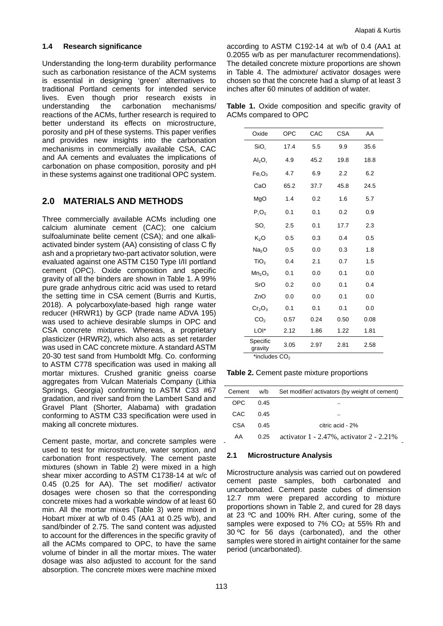#### **1.4 Research significance**

Understanding the long-term durability performance such as carbonation resistance of the ACM systems is essential in designing 'green' alternatives to traditional Portland cements for intended service lives. Even though prior research exists in understanding the carbonation mechanisms/ reactions of the ACMs, further research is required to better understand its effects on microstructure, porosity and pH of these systems. This paper verifies and provides new insights into the carbonation mechanisms in commercially available CSA, CAC and AA cements and evaluates the implications of carbonation on phase composition, porosity and pH in these systems against one traditional OPC system.

# **2.0 MATERIALS AND METHODS**

Three commercially available ACMs including one calcium aluminate cement (CAC); one calcium sulfoaluminate belite cement (CSA); and one alkaliactivated binder system (AA) consisting of class C fly ash and a proprietary two-part activator solution, were evaluated against one ASTM C150 Type I/II portland cement (OPC). Oxide composition and specific gravity of all the binders are shown in [Table 1.](#page-2-0) A 99% pure grade anhydrous citric acid was used to retard the setting time in CSA cement (Burris and Kurtis, 2018). A polycarboxylate-based high range water reducer (HRWR1) by GCP (trade name ADVA 195) was used to achieve desirable slumps in OPC and CSA concrete mixtures. Whereas, a proprietary plasticizer (HRWR2), which also acts as set retarder was used in CAC concrete mixture. A standard ASTM 20-30 test sand from Humboldt Mfg. Co. conforming to ASTM C778 specification was used in making all mortar mixtures. Crushed granitic gneiss coarse aggregates from Vulcan Materials Company (Lithia Springs, Georgia) conforming to ASTM C33 #67 gradation, and river sand from the Lambert Sand and Gravel Plant (Shorter, Alabama) with gradation conforming to ASTM C33 specification were used in making all concrete mixtures.

Cement paste, mortar, and concrete samples were used to test for microstructure, water sorption, and carbonation front respectively. The cement paste mixtures (shown in [Table 2\)](#page-2-1) were mixed in a high shear mixer according to ASTM C1738-14 at w/c of 0.45 (0.25 for AA). The set modifier/ activator dosages were chosen so that the corresponding concrete mixes had a workable window of at least 60 min. All the mortar mixes [\(Table](#page-3-0) 3) were mixed in Hobart mixer at w/b of 0.45 (AA1 at 0.25 w/b), and sand/binder of 2.75. The sand content was adjusted to account for the differences in the specific gravity of all the ACMs compared to OPC, to have the same volume of binder in all the mortar mixes. The water dosage was also adjusted to account for the sand absorption. The concrete mixes were machine mixed

according to ASTM C192-14 at w/b of 0.4 (AA1 at 0.2055 w/b as per manufacturer recommendations). The detailed concrete mixture proportions are shown in [Table 4.](#page-3-1) The admixture/ activator dosages were chosen so that the concrete had a slump of at least 3 inches after 60 minutes of addition of water.

<span id="page-2-0"></span>**Table 1.** Oxide composition and specific gravity of ACMs compared to OPC

| Oxide                          | <b>OPC</b> | CAC  | <b>CSA</b> | AA   |
|--------------------------------|------------|------|------------|------|
| SiO <sub>2</sub>               | 17.4       | 5.5  | 9.9        | 35.6 |
| $Al_2O_3$                      | 4.9        | 45.2 | 19.8       | 18.8 |
| Fe <sub>3</sub> O <sub>3</sub> | 4.7        | 6.9  | 2.2        | 6.2  |
| CaO                            | 65.2       | 37.7 | 45.8       | 24.5 |
| MgO                            | 1.4        | 0.2  | 1.6        | 5.7  |
| $P_2O_5$                       | 0.1        | 0.1  | 0.2        | 0.9  |
| SO,                            | 2.5        | 0.1  | 17.7       | 2.3  |
| $K_2O$                         | 0.5        | 0.3  | 0.4        | 0.5  |
| Na <sub>2</sub> O              | 0.5        | 0.0  | 0.3        | 1.8  |
| TiO <sub>2</sub>               | 0.4        | 2.1  | 0.7        | 1.5  |
| Mn <sub>2</sub> O <sub>3</sub> | 0.1        | 0.0  | 0.1        | 0.0  |
| SrO                            | 0.2        | 0.0  | 0.1        | 0.4  |
| ZnO                            | 0.0        | 0.0  | 0.1        | 0.0  |
| Cr <sub>2</sub> O <sub>3</sub> | 0.1        | 0.1  | 0.1        | 0.0  |
| CO <sub>2</sub>                | 0.57       | 0.24 | 0.50       | 0.08 |
| LOI*                           | 2.12       | 1.86 | 1.22       | 1.81 |
| Specific<br>gravity            | 3.05       | 2.97 | 2.81       | 2.58 |

<span id="page-2-1"></span>**Table 2.** Cement paste mixture proportions

| Cement | w/b  | Set modifier/ activators (by weight of cement)  |
|--------|------|-------------------------------------------------|
| OPC.   | 0.45 |                                                 |
| CAC.   | 0.45 |                                                 |
| CSA    | 0.45 | citric acid - 2%                                |
| AA     | 0.25 | activator $1 - 2.47\%$ , activator $2 - 2.21\%$ |

#### **2.1 Microstructure Analysis**

Microstructure analysis was carried out on powdered cement paste samples, both carbonated and uncarbonated. Cement paste cubes of dimension 12.7 mm were prepared according to mixture proportions shown in [Table 2,](#page-2-1) and cured for 28 days at 23 ºC and 100% RH. After curing, some of the samples were exposed to  $7\%$  CO<sub>2</sub> at 55% Rh and 30 ºC for 56 days (carbonated), and the other samples were stored in airtight container for the same period (uncarbonated).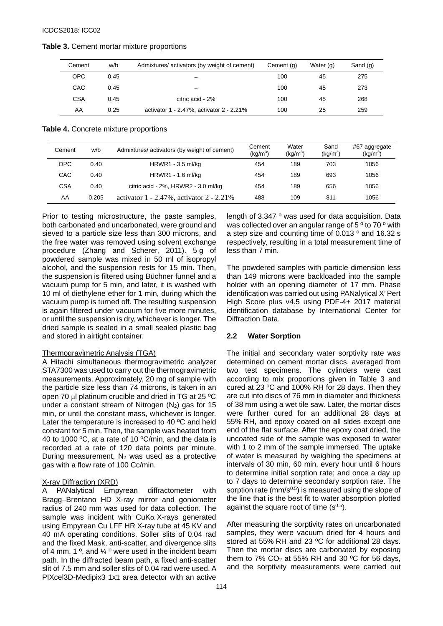| Cement     | w/b  | Admixtures/activators (by weight of cement) | Cement (g) | Water (g) | Sand (g) |
|------------|------|---------------------------------------------|------------|-----------|----------|
| <b>OPC</b> | 0.45 |                                             | 100        | 45        | 275      |
| CAC        | 0.45 |                                             | 100        | 45        | 273      |
| <b>CSA</b> | 0.45 | citric acid - 2%                            | 100        | 45        | 268      |
| AA         | 0.25 | activator 1 - 2.47%, activator 2 - 2.21%    | 100        | 25        | 259      |

#### <span id="page-3-0"></span>**Table 3.** Cement mortar mixture proportions

#### <span id="page-3-1"></span>**Table 4.** Concrete mixture proportions

| Cement     | w/b   | Admixtures/ activators (by weight of cement)    | Cement<br>(kq/m <sup>3</sup> ) | Water<br>(kg/m <sup>3</sup> ) | Sand<br>(kg/m <sup>3</sup> ) | #67 aggregate<br>(kg/m <sup>3</sup> ) |
|------------|-------|-------------------------------------------------|--------------------------------|-------------------------------|------------------------------|---------------------------------------|
| <b>OPC</b> | 0.40  | HRWR1 - 3.5 ml/kg                               | 454                            | 189                           | 703                          | 1056                                  |
| CAC        | 0.40  | HRWR1 - 1.6 ml/kg                               | 454                            | 189                           | 693                          | 1056                                  |
| CSA        | 0.40  | citric acid - 2%, HRWR2 - 3.0 ml/kg             | 454                            | 189                           | 656                          | 1056                                  |
| AA         | 0.205 | activator $1 - 2.47\%$ , activator $2 - 2.21\%$ | 488                            | 109                           | 811                          | 1056                                  |

Prior to testing microstructure, the paste samples, both carbonated and uncarbonated, were ground and sieved to a particle size less than 300 microns, and the free water was removed using solvent exchange procedure (Zhang and Scherer, 2011). 5 g of powdered sample was mixed in 50 ml of isopropyl alcohol, and the suspension rests for 15 min. Then, the suspension is filtered using Büchner funnel and a vacuum pump for 5 min, and later, it is washed with 10 ml of diethylene ether for 1 min, during which the vacuum pump is turned off. The resulting suspension is again filtered under vacuum for five more minutes, or until the suspension is dry, whichever is longer. The dried sample is sealed in a small sealed plastic bag and stored in airtight container.

#### Thermogravimetric Analysis (TGA)

A Hitachi simultaneous thermogravimetric analyzer STA7300 was used to carry out the thermogravimetric measurements. Approximately, 20 mg of sample with the particle size less than 74 microns, is taken in an open 70 µl platinum crucible and dried in TG at 25 ºC under a constant stream of Nitrogen  $(N_2)$  gas for 15 min, or until the constant mass, whichever is longer. Later the temperature is increased to 40 ºC and held constant for 5 min. Then, the sample was heated from 40 to 1000 ºC, at a rate of 10 ºC/min, and the data is recorded at a rate of 120 data points per minute. During measurement,  $N_2$  was used as a protective gas with a flow rate of 100 Cc/min.

#### X-ray Diffraction (XRD)

A PANalytical Empyrean diffractometer with Bragg−Brentano HD X-ray mirror and goniometer radius of 240 mm was used for data collection. The sample was incident with  $CuKa$  X-rays generated using Empyrean Cu LFF HR X-ray tube at 45 KV and 40 mA operating conditions. Soller slits of 0.04 rad and the fixed Mask, anti-scatter, and divergence slits of 4 mm, 1  $\degree$ , and  $\frac{1}{4}$   $\degree$  were used in the incident beam path. In the diffracted beam path, a fixed anti-scatter slit of 7.5 mm and soller slits of 0.04 rad were used. A PIXcel3D-Medipix3 1x1 area detector with an active

length of 3.347 º was used for data acquisition. Data was collected over an angular range of 5 º to 70 º with a step size and counting time of 0.013 º and 16.32 s respectively, resulting in a total measurement time of less than 7 min.

The powdered samples with particle dimension less than 149 microns were backloaded into the sample holder with an opening diameter of 17 mm. Phase identification was carried out using PANalytical X' Pert High Score plus v4.5 using PDF-4+ 2017 material identification database by International Center for Diffraction Data.

#### **2.2 Water Sorption**

The initial and secondary water sorptivity rate was determined on cement mortar discs, averaged from two test specimens. The cylinders were cast according to mix proportions given in [Table 3](#page-3-0) and cured at 23 ºC and 100% RH for 28 days. Then they are cut into discs of 76 mm in diameter and thickness of 38 mm using a wet tile saw. Later, the mortar discs were further cured for an additional 28 days at 55% RH, and epoxy coated on all sides except one end of the flat surface. After the epoxy coat dried, the uncoated side of the sample was exposed to water with 1 to 2 mm of the sample immersed. The uptake of water is measured by weighing the specimens at intervals of 30 min, 60 min, every hour until 6 hours to determine initial sorption rate; and once a day up to 7 days to determine secondary sorption rate. The sorption rate ( $mm/s^{0.5}$ ) is measured using the slope of the line that is the best fit to water absorption plotted against the square root of time  $(s^{0.5})$ .

After measuring the sorptivity rates on uncarbonated samples, they were vacuum dried for 4 hours and stored at 55% RH and 23 ºC for additional 28 days. Then the mortar discs are carbonated by exposing them to  $7\%$  CO<sub>2</sub> at 55% RH and 30 °C for 56 days. and the sorptivity measurements were carried out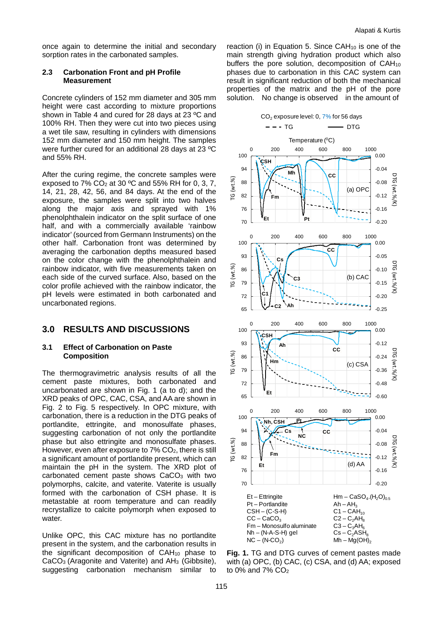once again to determine the initial and secondary sorption rates in the carbonated samples.

#### **2.3 Carbonation Front and pH Profile Measurement**

Concrete cylinders of 152 mm diameter and 305 mm height were cast according to mixture proportions shown in [Table 4](#page-3-1) and cured for 28 days at 23 ºC and 100% RH. Then they were cut into two pieces using a wet tile saw, resulting in cylinders with dimensions 152 mm diameter and 150 mm height. The samples were further cured for an additional 28 days at 23 ºC and 55% RH.

After the curing regime, the concrete samples were exposed to  $7\%$  CO<sub>2</sub> at 30 °C and 55% RH for 0, 3, 7, 14, 21, 28, 42, 56, and 84 days. At the end of the exposure, the samples were split into two halves along the major axis and sprayed with 1% phenolphthalein indicator on the split surface of one half, and with a commercially available 'rainbow indicator' (sourced from Germann Instruments) on the other half. Carbonation front was determined by averaging the carbonation depths measured based on the color change with the phenolphthalein and rainbow indicator, with five measurements taken on each side of the curved surface. Also, based on the color profile achieved with the rainbow indicator, the pH levels were estimated in both carbonated and uncarbonated regions.

# **3.0 RESULTS AND DISCUSSIONS**

#### **3.1 Effect of Carbonation on Paste Composition**

The thermogravimetric analysis results of all the cement paste mixtures, both carbonated and uncarbonated are shown in [Fig. 1](#page-4-0) (a to d); and the XRD peaks of OPC, CAC, CSA, and AA are shown in [Fig. 2](#page-5-0) to [Fig](#page-5-1). 5 respectively. In OPC mixture, with carbonation, there is a reduction in the DTG peaks of portlandite, ettringite, and monosulfate phases, suggesting carbonation of not only the portlandite phase but also ettringite and monosulfate phases. However, even after exposure to 7% CO<sub>2</sub>, there is still a significant amount of portlandite present, which can maintain the pH in the system. The XRD plot of carbonated cement paste shows CaCO3 with two polymorphs, calcite, and vaterite. Vaterite is usually formed with the carbonation of CSH phase. It is metastable at room temperature and can readily recrystallize to calcite polymorph when exposed to water.

Unlike OPC, this CAC mixture has no portlandite present in the system, and the carbonation results in the significant decomposition of  $CAH<sub>10</sub>$  phase to CaCO<sub>3</sub> (Aragonite and Vaterite) and AH<sub>3</sub> (Gibbsite), suggesting carbonation mechanism similar to

reaction (i) in [Equation 5.](#page-1-4) Since CAH<sub>10</sub> is one of the main strength giving hydration product which also buffers the pore solution, decomposition of  $CAH_{10}$ phases due to carbonation in this CAC system can result in significant reduction of both the mechanical properties of the matrix and the pH of the pore solution. No change is observed in the amount of



<span id="page-4-0"></span>**Fig. 1.** TG and DTG curves of cement pastes made with (a) OPC, (b) CAC, (c) CSA, and (d) AA; exposed to  $0\%$  and  $7\%$  CO<sub>2</sub>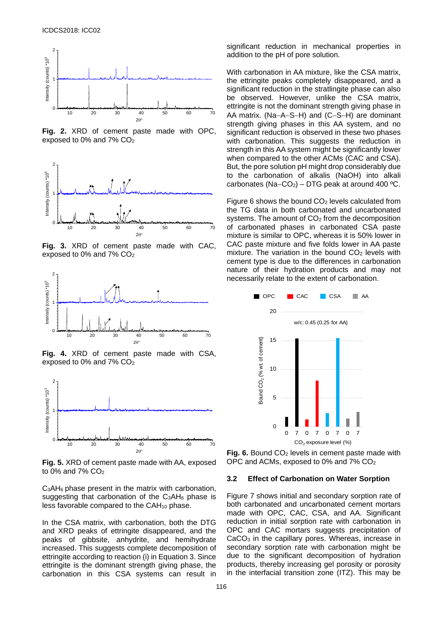

<span id="page-5-0"></span>**Fig. 2.** XRD of cement paste made with OPC, exposed to 0% and 7% CO2



**Fig. 3.** XRD of cement paste made with CAC, exposed to 0% and 7% CO2



**Fig. 4.** XRD of cement paste made with CSA, exposed to 0% and 7% CO<sub>2</sub>



<span id="page-5-1"></span>**Fig. 5.** XRD of cement paste made with AA, exposed to 0% and 7% CO2

C3AH6 phase present in the matrix with carbonation, suggesting that carbonation of the  $C_3AH_6$  phase is less favorable compared to the CAH10 phase.

In the CSA matrix, with carbonation, both the DTG and XRD peaks of ettringite disappeared, and the peaks of gibbsite, anhydrite, and hemihydrate increased. This suggests complete decomposition of ettringite according to reaction (i) in [Equation 3.](#page-1-2) Since ettringite is the dominant strength giving phase, the carbonation in this CSA systems can result in

significant reduction in mechanical properties in addition to the pH of pore solution.

With carbonation in AA mixture, like the CSA matrix, the ettringite peaks completely disappeared, and a significant reduction in the stratlingite phase can also be observed. However, unlike the CSA matrix, ettringite is not the dominant strength giving phase in AA matrix. (Na−A−S−H) and (C−S−H) are dominant strength giving phases in this AA system, and no significant reduction is observed in these two phases with carbonation. This suggests the reduction in strength in this AA system might be significantly lower when compared to the other ACMs (CAC and CSA). But, the pore solution pH might drop considerably due to the carbonation of alkalis (NaOH) into alkali carbonates (Na–CO<sub>2</sub>) – DTG peak at around 400 °C.

[Figure](#page-5-2) 6 shows the bound  $CO<sub>2</sub>$  levels calculated from the TG data in both carbonated and uncarbonated systems. The amount of CO<sub>2</sub> from the decomposition of carbonated phases in carbonated CSA paste mixture is similar to OPC, whereas it is 50% lower in CAC paste mixture and five folds lower in AA paste mixture. The variation in the bound  $CO<sub>2</sub>$  levels with cement type is due to the differences in carbonation nature of their hydration products and may not necessarily relate to the extent of carbonation.



<span id="page-5-2"></span>**Fig. 6.** Bound CO<sub>2</sub> levels in cement paste made with OPC and ACMs, exposed to 0% and 7% CO2

#### **3.2 Effect of Carbonation on Water Sorption**

[Figure](#page-6-0) 7 shows initial and secondary sorption rate of both carbonated and uncarbonated cement mortars made with OPC, CAC, CSA, and AA. Significant reduction in initial sorption rate with carbonation in OPC and CAC mortars suggests precipitation of CaCO3 in the capillary pores. Whereas, increase in secondary sorption rate with carbonation might be due to the significant decomposition of hydration products, thereby increasing gel porosity or porosity in the interfacial transition zone (ITZ). This may be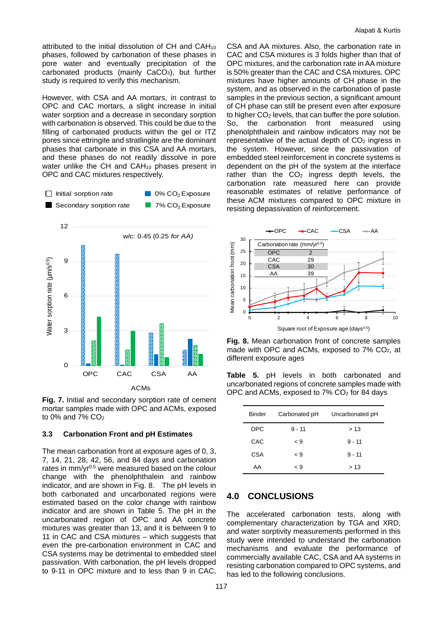attributed to the initial dissolution of CH and CAH10 phases, followed by carbonation of these phases in pore water and eventually precipitation of the carbonated products (mainly CaCO<sub>3</sub>), but further study is required to verify this mechanism.

However, with CSA and AA mortars, in contrast to OPC and CAC mortars, a slight increase in initial water sorption and a decrease in secondary sorption with carbonation is observed. This could be due to the filling of carbonated products within the gel or ITZ pores since ettringite and stratlingite are the dominant phases that carbonate in this CSA and AA mortars, and these phases do not readily dissolve in pore water unlike the CH and  $CAH<sub>10</sub>$  phases present in OPC and CAC mixtures respectively.





<span id="page-6-0"></span>**Fig. 7.** Initial and secondary sorption rate of cement mortar samples made with OPC and ACMs, exposed to 0% and 7%  $CO<sub>2</sub>$ 

#### **3.3 Carbonation Front and pH Estimates**

The mean carbonation front at exposure ages of 0, 3, 7, 14, 21, 28, 42, 56, and 84 days and carbonation rates in  $mm/yr^{0.5}$  were measured based on the colour change with the phenolphthalein and rainbow indicator, and are shown in [Fig. 8.](#page-6-1) The pH levels in both carbonated and uncarbonated regions were estimated based on the color change with rainbow indicator and are shown in [Table 5.](#page-6-2) The pH in the uncarbonated region of OPC and AA concrete mixtures was greater than 13, and it is between 9 to 11 in CAC and CSA mixtures – which suggests that even the pre-carbonation environment in CAC and CSA systems may be detrimental to embedded steel passivation. With carbonation, the pH levels dropped to 9-11 in OPC mixture and to less than 9 in CAC,

CSA and AA mixtures. Also, the carbonation rate in CAC and CSA mixtures is 3 folds higher than that of OPC mixtures, and the carbonation rate in AA mixture is 50% greater than the CAC and CSA mixtures. OPC mixtures have higher amounts of CH phase in the system, and as observed in the carbonation of paste samples in the previous section, a significant amount of CH phase can still be present even after exposure to higher  $CO<sub>2</sub>$  levels, that can buffer the pore solution. So, the carbonation front measured using phenolphthalein and rainbow indicators may not be representative of the actual depth of  $CO<sub>2</sub>$  ingress in the system. However, since the passivation of embedded steel reinforcement in concrete systems is dependent on the pH of the system at the interface rather than the CO<sub>2</sub> ingress depth levels, the carbonation rate measured here can provide reasonable estimates of relative performance of these ACM mixtures compared to OPC mixture in resisting depassivation of reinforcement.



<span id="page-6-1"></span>**Fig. 8.** Mean carbonation front of concrete samples made with OPC and ACMs, exposed to 7% CO2, at different exposure ages

<span id="page-6-2"></span>**Table 5.** pH levels in both carbonated and uncarbonated regions of concrete samples made with OPC and ACMs, exposed to 7% CO2 for 84 days

| <b>Binder</b> | Carbonated pH | Uncarbonated pH |
|---------------|---------------|-----------------|
| <b>OPC</b>    | $9 - 11$      | > 13            |
| CAC           | ⊂ 9           | $9 - 11$        |
| CSA           | $\leq 9$      | $9 - 11$        |
| AA            | ⊂ 9           | >13             |

### **4.0 CONCLUSIONS**

The accelerated carbonation tests, along with complementary characterization by TGA and XRD, and water sorptivity measurements performed in this study were intended to understand the carbonation mechanisms and evaluate the performance of commercially available CAC, CSA and AA systems in resisting carbonation compared to OPC systems, and has led to the following conclusions.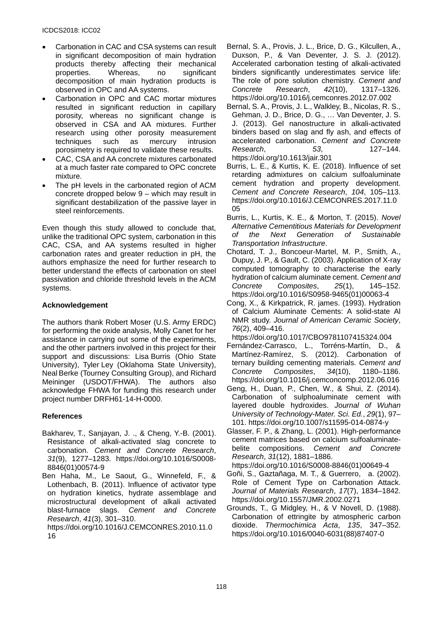- Carbonation in CAC and CSA systems can result in significant decomposition of main hydration products thereby affecting their mechanical properties. Whereas, no significant decomposition of main hydration products is observed in OPC and AA systems.
- Carbonation in OPC and CAC mortar mixtures resulted in significant reduction in capillary porosity, whereas no significant change is observed in CSA and AA mixtures. Further research using other porosity measurement techniques such as mercury intrusion porosimetry is required to validate these results.
- CAC, CSA and AA concrete mixtures carbonated at a much faster rate compared to OPC concrete mixture.
- The pH levels in the carbonated region of ACM concrete dropped below 9 – which may result in significant destabilization of the passive layer in steel reinforcements.

Even though this study allowed to conclude that, unlike the traditional OPC system, carbonation in this CAC, CSA, and AA systems resulted in higher carbonation rates and greater reduction in pH, the authors emphasize the need for further research to better understand the effects of carbonation on steel passivation and chloride threshold levels in the ACM systems.

# **Acknowledgement**

The authors thank Robert Moser (U.S. Army ERDC) for performing the oxide analysis, Molly Canet for her assistance in carrying out some of the experiments, and the other partners involved in this project for their support and discussions: Lisa Burris (Ohio State University), Tyler Ley (Oklahoma State University), Neal Berke (Tourney Consulting Group), and Richard Meininger (USDOT/FHWA). The authors also acknowledge FHWA for funding this research under project number DRFH61-14-H-0000.

# **References**

- Bakharev, T., Sanjayan, J. ., & Cheng, Y.-B. (2001). Resistance of alkali-activated slag concrete to carbonation. *Cement and Concrete Research*, *31*(9), 1277–1283. https://doi.org/10.1016/S0008- 8846(01)00574-9
- Ben Haha, M., Le Saout, G., Winnefeld, F., & Lothenbach, B. (2011). Influence of activator type on hydration kinetics, hydrate assemblage and microstructural development of alkali activated blast-furnace slags. *Cement and Concrete Research*, *41*(3), 301–310.

https://doi.org/10.1016/J.CEMCONRES.2010.11.0 16

- Bernal, S. A., Provis, J. L., Brice, D. G., Kilcullen, A., Duxson, P., & Van Deventer, J. S. J. (2012). Accelerated carbonation testing of alkali-activated binders significantly underestimates service life: The role of pore solution chemistry. *Cement and Concrete Research*, *42*(10), 1317–1326. https://doi.org/10.1016/j.cemconres.2012.07.002
- Bernal, S. A., Provis, J. L., Walkley, B., Nicolas, R. S., Gehman, J. D., Brice, D. G., … Van Deventer, J. S. J. (2013). Gel nanostructure in alkali-activated binders based on slag and fly ash, and effects of accelerated carbonation. *Cement and Concrete Research*, 53, https://doi.org/10.1613/jair.301
- Burris, L. E., & Kurtis, K. E. (2018). Influence of set retarding admixtures on calcium sulfoaluminate cement hydration and property development. *Cement and Concrete Research*, *104*, 105–113. https://doi.org/10.1016/J.CEMCONRES.2017.11.0 05
- Burris, L., Kurtis, K. E., & Morton, T. (2015). *Novel Alternative Cementitious Materials for Development of the Next Generation of Sustainable Transportation Infrastructure*.
- Chotard, T. J., Boncoeur-Martel, M. P., Smith, A., Dupuy, J. P., & Gault, C. (2003). Application of X-ray computed tomography to characterise the early hydration of calcium aluminate cement. *Cement and Concrete Composites*, *25*(1), 145–152. https://doi.org/10.1016/S0958-9465(01)00063-4
- Cong, X., & Kirkpatrick, R. james. (1993). Hydration of Calcium Aluminate Cements: A solid-state Al NMR study. *Journal of American Ceramic Society*, *76*(2), 409–416.

https://doi.org/10.1017/CBO9781107415324.004

- Fernández-Carrasco, L., Torréns-Martín, D., & Martínez-Ramírez, S. (2012). Carbonation of ternary building cementing materials. *Cement and*   $Composites$ . https://doi.org/10.1016/j.cemconcomp.2012.06.016
- Geng, H., Duan, P., Chen, W., & Shui, Z. (2014). Carbonation of sulphoaluminate cement with layered double hydroxides. *Journal of Wuhan University of Technology-Mater. Sci. Ed.*, *29*(1), 97– 101. https://doi.org/10.1007/s11595-014-0874-y
- Glasser, F. P., & Zhang, L. (2001). High-performance cement matrices based on calcium sulfoaluminatebelite compositions. *Cement and Concrete Research*, *31*(12), 1881–1886.

https://doi.org/10.1016/S0008-8846(01)00649-4

- Goñi, S., Gaztañaga, M. T., & Guerrero, a. (2002). Role of Cement Type on Carbonation Attack. *Journal of Materials Research*, *17*(7), 1834–1842. https://doi.org/10.1557/JMR.2002.0271
- Grounds, T., G Midgley, H., & V Novell, D. (1988). Carbonation of ettringite by atmospheric carbon dioxide. *Thermochimica Acta*, *135*, 347–352. https://doi.org/10.1016/0040-6031(88)87407-0